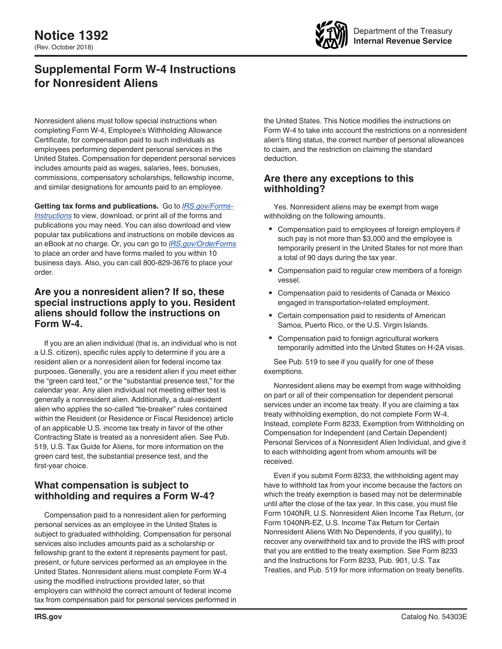

# **Supplemental Form W-4 Instructions for Nonresident Aliens**

Nonresident aliens must follow special instructions when completing Form W-4, Employee's Withholding Allowance Certificate, for compensation paid to such individuals as employees performing dependent personal services in the United States. Compensation for dependent personal services includes amounts paid as wages, salaries, fees, bonuses, commissions, compensatory scholarships, fellowship income, and similar designations for amounts paid to an employee.

**Getting tax forms and publications.** Go to *[IRS.gov/Forms-](https://www.irs.gov/forms-instructions)[Instructions](https://www.irs.gov/forms-instructions)* to view, download, or print all of the forms and publications you may need. You can also download and view popular tax publications and instructions on mobile devices as an eBook at no charge. Or, you can go to *[IRS.gov/OrderForms](https://www.IRS.gov/OrderForms)*  to place an order and have forms mailed to you within 10 business days. Also, you can call 800-829-3676 to place your order.

#### **Are you a nonresident alien? If so, these special instructions apply to you. Resident aliens should follow the instructions on Form W-4.**

If you are an alien individual (that is, an individual who is not a U.S. citizen), specific rules apply to determine if you are a resident alien or a nonresident alien for federal income tax purposes. Generally, you are a resident alien if you meet either the "green card test," or the "substantial presence test," for the calendar year. Any alien individual not meeting either test is generally a nonresident alien. Additionally, a dual-resident alien who applies the so-called "tie-breaker" rules contained within the Resident (or Residence or Fiscal Residence) article of an applicable U.S. income tax treaty in favor of the other Contracting State is treated as a nonresident alien. See Pub. 519, U.S. Tax Guide for Aliens, for more information on the green card test, the substantial presence test, and the first-year choice.

# **What compensation is subject to withholding and requires a Form W-4?**

Compensation paid to a nonresident alien for performing personal services as an employee in the United States is subject to graduated withholding. Compensation for personal services also includes amounts paid as a scholarship or fellowship grant to the extent it represents payment for past, present, or future services performed as an employee in the United States. Nonresident aliens must complete Form W-4 using the modified instructions provided later, so that employers can withhold the correct amount of federal income tax from compensation paid for personal services performed in the United States. This Notice modifies the instructions on Form W-4 to take into account the restrictions on a nonresident alien's filing status, the correct number of personal allowances to claim, and the restriction on claiming the standard deduction.

# **Are there any exceptions to this withholding?**

Yes. Nonresident aliens may be exempt from wage withholding on the following amounts.

- Compensation paid to employees of foreign employers if such pay is not more than \$3,000 and the employee is temporarily present in the United States for not more than a total of 90 days during the tax year.
- Compensation paid to regular crew members of a foreign vessel.
- Compensation paid to residents of Canada or Mexico engaged in transportation-related employment.
- Certain compensation paid to residents of American Samoa, Puerto Rico, or the U.S. Virgin Islands.
- Compensation paid to foreign agricultural workers temporarily admitted into the United States on H-2A visas.

See Pub. 519 to see if you qualify for one of these exemptions.

Nonresident aliens may be exempt from wage withholding on part or all of their compensation for dependent personal services under an income tax treaty. If you are claiming a tax treaty withholding exemption, do not complete Form W-4. Instead, complete Form 8233, Exemption from Withholding on Compensation for Independent (and Certain Dependent) Personal Services of a Nonresident Alien Individual, and give it to each withholding agent from whom amounts will be received.

Even if you submit Form 8233, the withholding agent may have to withhold tax from your income because the factors on which the treaty exemption is based may not be determinable until after the close of the tax year. In this case, you must file Form 1040NR, U.S. Nonresident Alien Income Tax Return, (or Form 1040NR-EZ, U.S. Income Tax Return for Certain Nonresident Aliens With No Dependents, if you qualify), to recover any overwithheld tax and to provide the IRS with proof that you are entitled to the treaty exemption. See Form 8233 and the Instructions for Form 8233, Pub. 901, U.S. Tax Treaties, and Pub. 519 for more information on treaty benefits.